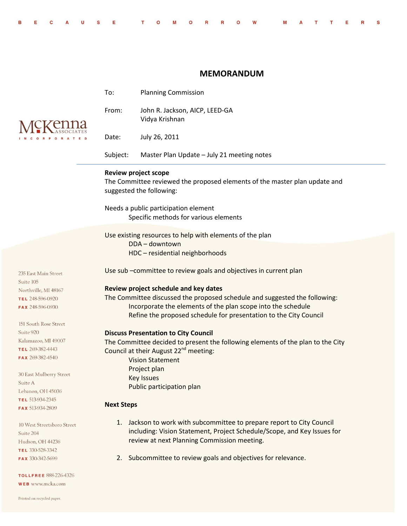|  |  |  |  |  |  |  | BECAUSE TOMORROW MATTERS |  |  |  |
|--|--|--|--|--|--|--|--------------------------|--|--|--|
|  |  |  |  |  |  |  |                          |  |  |  |

## **MEMORANDUM**

|                                         | To:                                                                                                                                               | <b>Planning Commission</b>                                                      |  |  |  |  |  |  |
|-----------------------------------------|---------------------------------------------------------------------------------------------------------------------------------------------------|---------------------------------------------------------------------------------|--|--|--|--|--|--|
|                                         | From:                                                                                                                                             | John R. Jackson, AICP, LEED-GA<br>Vidya Krishnan                                |  |  |  |  |  |  |
|                                         | Date:                                                                                                                                             | July 26, 2011                                                                   |  |  |  |  |  |  |
|                                         | Subject:                                                                                                                                          | Master Plan Update - July 21 meeting notes                                      |  |  |  |  |  |  |
|                                         | <b>Review project scope</b><br>The Committee reviewed the proposed elements of the master plan update and<br>suggested the following:             |                                                                                 |  |  |  |  |  |  |
|                                         | Needs a public participation element<br>Specific methods for various elements                                                                     |                                                                                 |  |  |  |  |  |  |
|                                         | Use existing resources to help with elements of the plan                                                                                          |                                                                                 |  |  |  |  |  |  |
|                                         |                                                                                                                                                   | DDA-downtown<br>HDC - residential neighborhoods                                 |  |  |  |  |  |  |
| 235 East Main Street<br>Suite 105       | Use sub -committee to review goals and objectives in current plan                                                                                 |                                                                                 |  |  |  |  |  |  |
| Northville, MI 48167                    |                                                                                                                                                   | Review project schedule and key dates                                           |  |  |  |  |  |  |
| TEL 248-596-0920                        | The Committee discussed the proposed schedule and suggested the following:                                                                        |                                                                                 |  |  |  |  |  |  |
| FAX 248-596-0930                        |                                                                                                                                                   | Incorporate the elements of the plan scope into the schedule                    |  |  |  |  |  |  |
|                                         |                                                                                                                                                   | Refine the proposed schedule for presentation to the City Council               |  |  |  |  |  |  |
| 151 South Rose Street                   |                                                                                                                                                   |                                                                                 |  |  |  |  |  |  |
| Suite 920                               |                                                                                                                                                   | <b>Discuss Presentation to City Council</b>                                     |  |  |  |  |  |  |
| Kalamazoo, MI 49007                     |                                                                                                                                                   | The Committee decided to present the following elements of the plan to the City |  |  |  |  |  |  |
| TEL 269-382-4443                        |                                                                                                                                                   | Council at their August 22 <sup>nd</sup> meeting:                               |  |  |  |  |  |  |
| FAX 269-382-4540                        | <b>Vision Statement</b>                                                                                                                           |                                                                                 |  |  |  |  |  |  |
|                                         |                                                                                                                                                   | Project plan                                                                    |  |  |  |  |  |  |
| 30 East Mulberry Street                 |                                                                                                                                                   | <b>Key Issues</b>                                                               |  |  |  |  |  |  |
| Suite A                                 |                                                                                                                                                   | Public participation plan                                                       |  |  |  |  |  |  |
| Lebanon, OH 45036                       |                                                                                                                                                   |                                                                                 |  |  |  |  |  |  |
| TEL 513-934-2345                        | <b>Next Steps</b>                                                                                                                                 |                                                                                 |  |  |  |  |  |  |
| FAX 513-934-2809                        |                                                                                                                                                   |                                                                                 |  |  |  |  |  |  |
| 10 West Streetsboro Street<br>Suite 204 | 1. Jackson to work with subcommittee to prepare report to City Council<br>including: Vision Statement, Project Schedule/Scope, and Key Issues for |                                                                                 |  |  |  |  |  |  |
| Hudson, OH 44236                        |                                                                                                                                                   | review at next Planning Commission meeting.                                     |  |  |  |  |  |  |
| TEL 330-528-3342                        |                                                                                                                                                   |                                                                                 |  |  |  |  |  |  |
| FAX 330-342-5699                        | 2.                                                                                                                                                | Subcommittee to review goals and objectives for relevance.                      |  |  |  |  |  |  |
| <b>TOLLFREE 888-226-4326</b>            |                                                                                                                                                   |                                                                                 |  |  |  |  |  |  |
| WEB www.mcka.com                        |                                                                                                                                                   |                                                                                 |  |  |  |  |  |  |
|                                         |                                                                                                                                                   |                                                                                 |  |  |  |  |  |  |